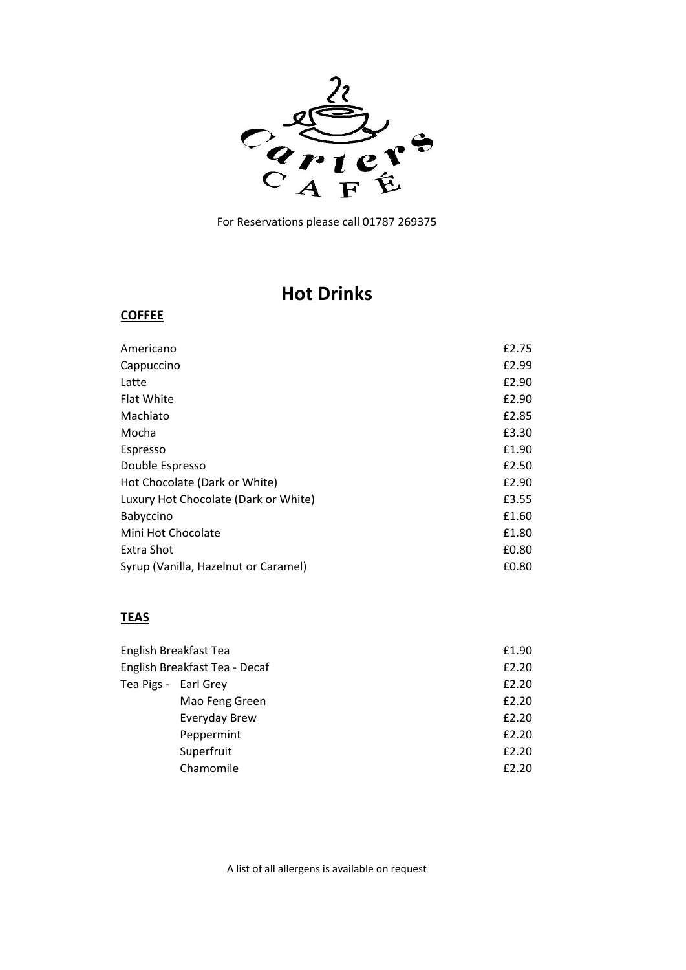

# **Hot Drinks**

#### **COFFEE**

| Americano                            | £2.75 |
|--------------------------------------|-------|
| Cappuccino                           | £2.99 |
| Latte                                | £2.90 |
| <b>Flat White</b>                    | £2.90 |
| Machiato                             | £2.85 |
| Mocha                                | £3.30 |
| Espresso                             | £1.90 |
| Double Espresso                      | £2.50 |
| Hot Chocolate (Dark or White)        | £2.90 |
| Luxury Hot Chocolate (Dark or White) | £3.55 |
| Babyccino                            | £1.60 |
| Mini Hot Chocolate                   | £1.80 |
| Extra Shot                           | £0.80 |
| Syrup (Vanilla, Hazelnut or Caramel) | £0.80 |
|                                      |       |

### **TEAS**

| English Breakfast Tea         | £1.90 |
|-------------------------------|-------|
| English Breakfast Tea - Decaf | £2.20 |
| Tea Pigs - Earl Grey          | £2.20 |
| Mao Feng Green                | £2.20 |
| Everyday Brew                 | £2.20 |
| Peppermint                    | £2.20 |
| Superfruit                    | £2.20 |
| Chamomile                     | £2.20 |
|                               |       |

A list of all allergens is available on request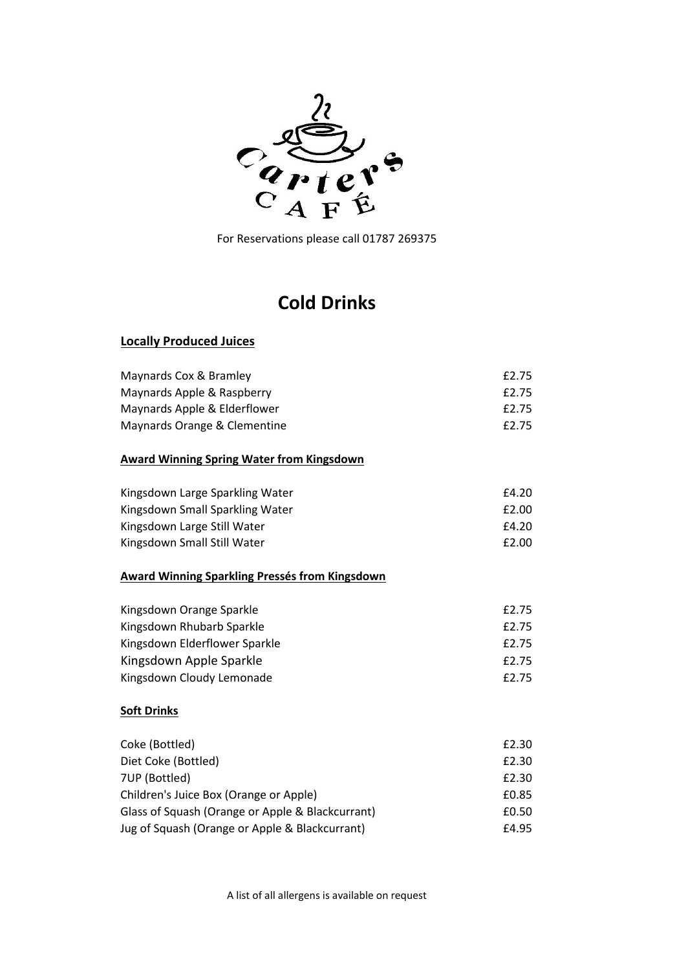

# **Cold Drinks**

#### **Locally Produced Juices**

| Maynards Cox & Bramley       | £2.75 |
|------------------------------|-------|
| Maynards Apple & Raspberry   | £2.75 |
| Maynards Apple & Elderflower | £2.75 |
| Maynards Orange & Clementine | £2.75 |

#### **Award Winning Spring Water from Kingsdown**

| Kingsdown Large Sparkling Water | £4.20 |
|---------------------------------|-------|
| Kingsdown Small Sparkling Water | £2.00 |
| Kingsdown Large Still Water     | £4.20 |
| Kingsdown Small Still Water     | £2.00 |

#### **Award Winning Sparkling Pressés from Kingsdown**

| Kingsdown Orange Sparkle      | £2.75 |
|-------------------------------|-------|
| Kingsdown Rhubarb Sparkle     | £2.75 |
| Kingsdown Elderflower Sparkle | £2.75 |
| Kingsdown Apple Sparkle       | £2.75 |
| Kingsdown Cloudy Lemonade     | £2.75 |

#### **Soft Drinks**

| Coke (Bottled)                                   | £2.30 |
|--------------------------------------------------|-------|
| Diet Coke (Bottled)                              | £2.30 |
| 7UP (Bottled)                                    | £2.30 |
| Children's Juice Box (Orange or Apple)           | £0.85 |
| Glass of Squash (Orange or Apple & Blackcurrant) | £0.50 |
| Jug of Squash (Orange or Apple & Blackcurrant)   | £4.95 |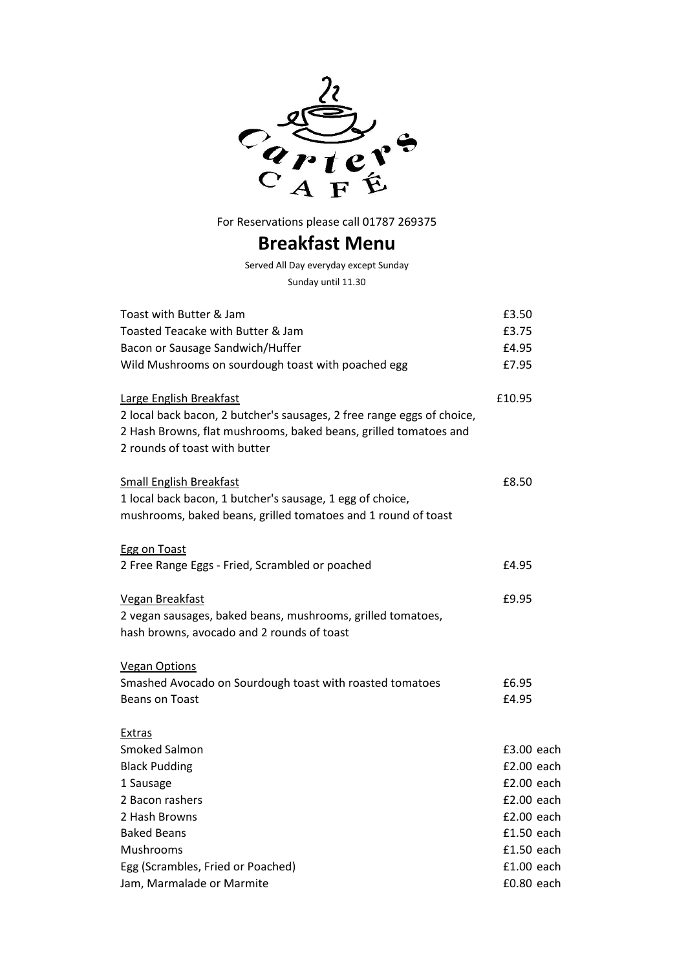

## **Breakfast Menu**

Served All Day everyday except Sunday Sunday until 11.30

| Toast with Butter & Jam                                                                                                                                                     | £3.50        |
|-----------------------------------------------------------------------------------------------------------------------------------------------------------------------------|--------------|
| Toasted Teacake with Butter & Jam                                                                                                                                           | £3.75        |
| Bacon or Sausage Sandwich/Huffer                                                                                                                                            | £4.95        |
| Wild Mushrooms on sourdough toast with poached egg                                                                                                                          | £7.95        |
| Large English Breakfast                                                                                                                                                     | £10.95       |
| 2 local back bacon, 2 butcher's sausages, 2 free range eggs of choice,<br>2 Hash Browns, flat mushrooms, baked beans, grilled tomatoes and<br>2 rounds of toast with butter |              |
| <b>Small English Breakfast</b>                                                                                                                                              | £8.50        |
| 1 local back bacon, 1 butcher's sausage, 1 egg of choice,                                                                                                                   |              |
| mushrooms, baked beans, grilled tomatoes and 1 round of toast                                                                                                               |              |
| <b>Egg on Toast</b>                                                                                                                                                         |              |
| 2 Free Range Eggs - Fried, Scrambled or poached                                                                                                                             | £4.95        |
| <b>Vegan Breakfast</b>                                                                                                                                                      | £9.95        |
| 2 vegan sausages, baked beans, mushrooms, grilled tomatoes,                                                                                                                 |              |
| hash browns, avocado and 2 rounds of toast                                                                                                                                  |              |
| <b>Vegan Options</b>                                                                                                                                                        |              |
| Smashed Avocado on Sourdough toast with roasted tomatoes                                                                                                                    | £6.95        |
| <b>Beans on Toast</b>                                                                                                                                                       | £4.95        |
| Extras                                                                                                                                                                      |              |
| Smoked Salmon                                                                                                                                                               | £3.00 each   |
| <b>Black Pudding</b>                                                                                                                                                        | £2.00 each   |
| 1 Sausage                                                                                                                                                                   | £2.00 each   |
| 2 Bacon rashers                                                                                                                                                             | £2.00 each   |
| 2 Hash Browns                                                                                                                                                               | £2.00 each   |
| <b>Baked Beans</b>                                                                                                                                                          | £1.50 each   |
| Mushrooms                                                                                                                                                                   | £1.50 each   |
| Egg (Scrambles, Fried or Poached)                                                                                                                                           | $£1.00$ each |
| Jam, Marmalade or Marmite                                                                                                                                                   | £0.80 each   |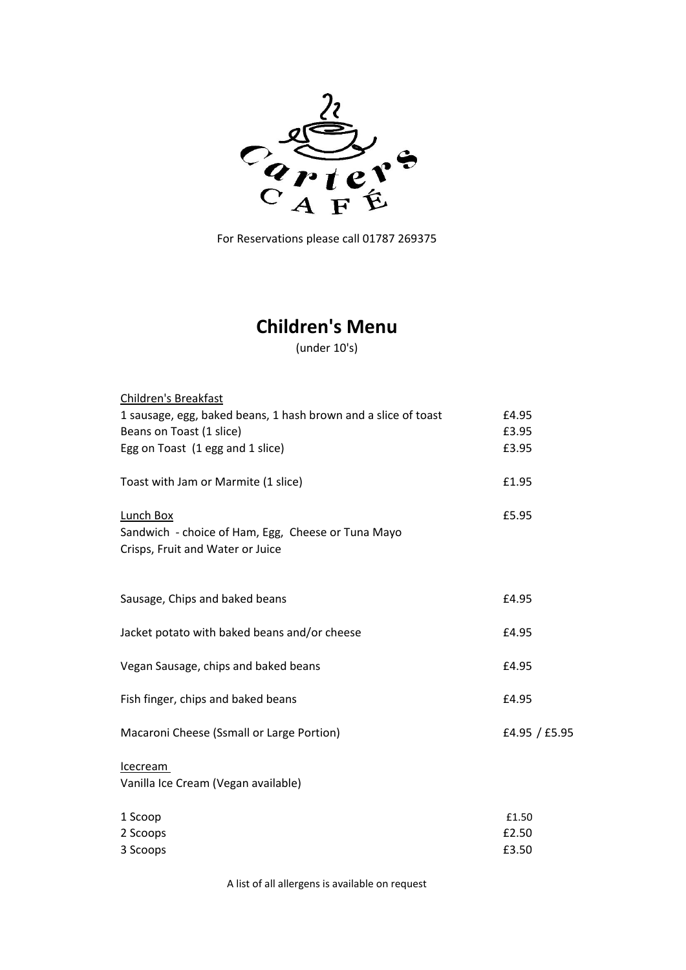

# **Children's Menu**

(under 10's)

| <b>Children's Breakfast</b>                                                                         |               |
|-----------------------------------------------------------------------------------------------------|---------------|
| 1 sausage, egg, baked beans, 1 hash brown and a slice of toast                                      | £4.95         |
| Beans on Toast (1 slice)                                                                            | £3.95         |
| Egg on Toast (1 egg and 1 slice)                                                                    | £3.95         |
| Toast with Jam or Marmite (1 slice)                                                                 | £1.95         |
| Lunch Box<br>Sandwich - choice of Ham, Egg, Cheese or Tuna Mayo<br>Crisps, Fruit and Water or Juice | £5.95         |
| Sausage, Chips and baked beans                                                                      | £4.95         |
| Jacket potato with baked beans and/or cheese                                                        | £4.95         |
| Vegan Sausage, chips and baked beans                                                                | £4.95         |
| Fish finger, chips and baked beans                                                                  | £4.95         |
| Macaroni Cheese (Ssmall or Large Portion)                                                           | £4.95 / £5.95 |
| <b>Icecream</b><br>Vanilla Ice Cream (Vegan available)                                              |               |
| 1 Scoop                                                                                             | £1.50         |
| 2 Scoops                                                                                            | £2.50         |
| 3 Scoops                                                                                            | £3.50         |
|                                                                                                     |               |

A list of all allergens is available on request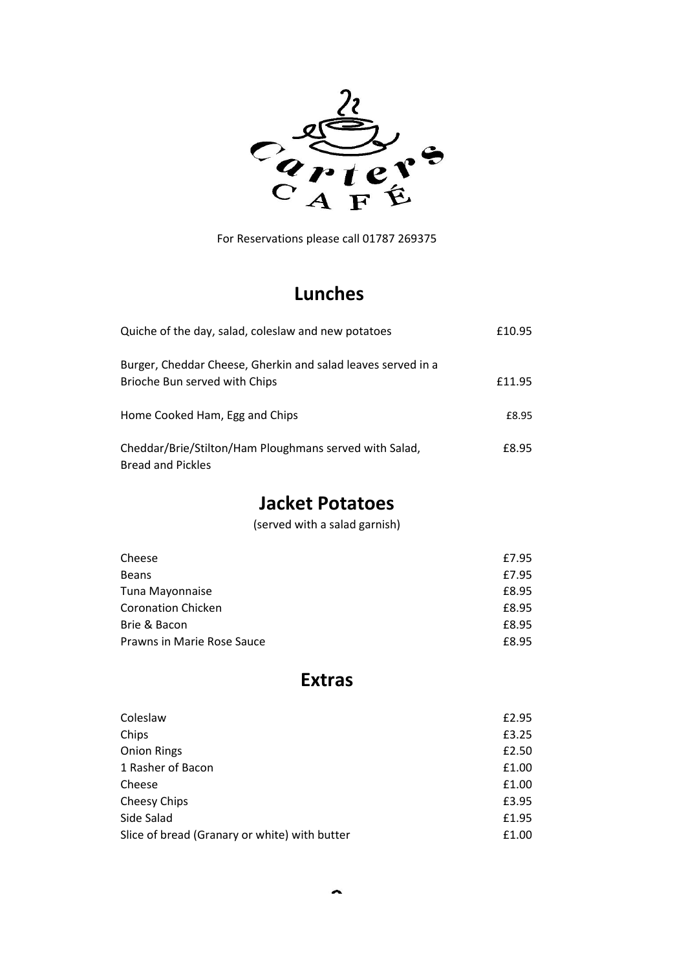

# **Lunches**

| Quiche of the day, salad, coleslaw and new potatoes                                           | £10.95 |
|-----------------------------------------------------------------------------------------------|--------|
| Burger, Cheddar Cheese, Gherkin and salad leaves served in a<br>Brioche Bun served with Chips | £11.95 |
| Home Cooked Ham, Egg and Chips                                                                | £8.95  |
| Cheddar/Brie/Stilton/Ham Ploughmans served with Salad,<br><b>Bread and Pickles</b>            | £8.95  |

# **Jacket Potatoes**

(served with a salad garnish)

| Cheese                     | £7.95 |
|----------------------------|-------|
| <b>Beans</b>               | £7.95 |
| Tuna Mayonnaise            | £8.95 |
| <b>Coronation Chicken</b>  | £8.95 |
| Brie & Bacon               | £8.95 |
| Prawns in Marie Rose Sauce | £8.95 |

## **Extras**

| Coleslaw                                      | £2.95 |
|-----------------------------------------------|-------|
| Chips                                         | £3.25 |
| <b>Onion Rings</b>                            | £2.50 |
| 1 Rasher of Bacon                             | £1.00 |
| Cheese                                        | £1.00 |
| Cheesy Chips                                  | £3.95 |
| Side Salad                                    | £1.95 |
| Slice of bread (Granary or white) with butter | £1.00 |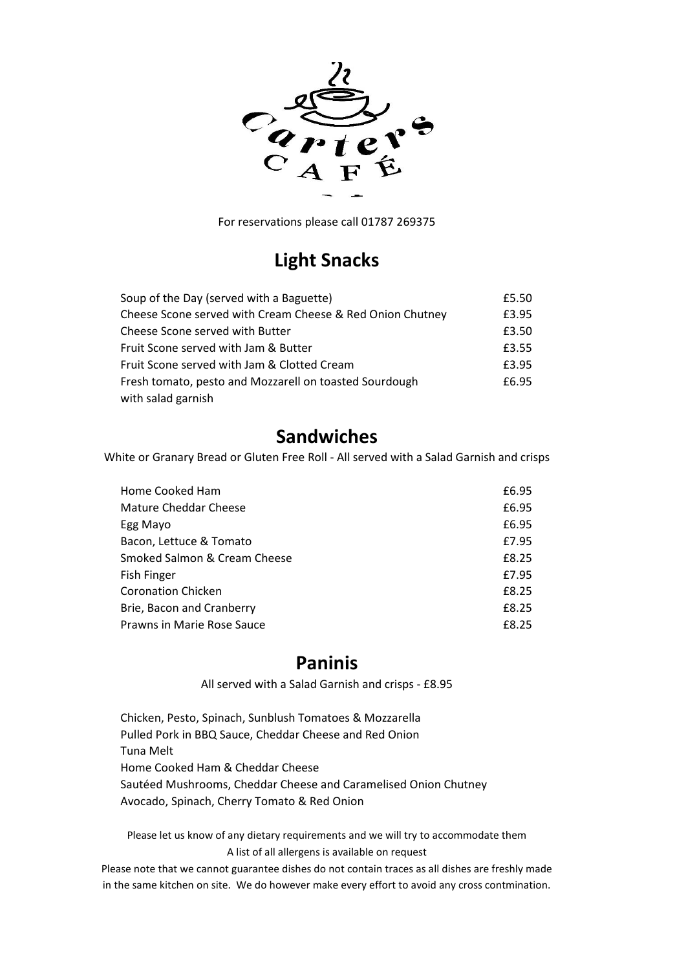

## **Light Snacks**

| Soup of the Day (served with a Baguette)                  | £5.50 |
|-----------------------------------------------------------|-------|
| Cheese Scone served with Cream Cheese & Red Onion Chutney | £3.95 |
| Cheese Scone served with Butter                           | £3.50 |
| Fruit Scone served with Jam & Butter                      | £3.55 |
| Fruit Scone served with Jam & Clotted Cream               | £3.95 |
| Fresh tomato, pesto and Mozzarell on toasted Sourdough    | £6.95 |
| with salad garnish                                        |       |

## **Sandwiches**

White or Granary Bread or Gluten Free Roll - All served with a Salad Garnish and crisps

| Home Cooked Ham              | £6.95 |
|------------------------------|-------|
| Mature Cheddar Cheese        | £6.95 |
| Egg Mayo                     | £6.95 |
| Bacon, Lettuce & Tomato      | £7.95 |
| Smoked Salmon & Cream Cheese | £8.25 |
| <b>Fish Finger</b>           | £7.95 |
| <b>Coronation Chicken</b>    | £8.25 |
| Brie, Bacon and Cranberry    | £8.25 |
| Prawns in Marie Rose Sauce   | £8.25 |

### **Paninis**

All served with a Salad Garnish and crisps - £8.95

Chicken, Pesto, Spinach, Sunblush Tomatoes & Mozzarella Pulled Pork in BBQ Sauce, Cheddar Cheese and Red Onion Tuna Melt Home Cooked Ham & Cheddar Cheese Sautéed Mushrooms, Cheddar Cheese and Caramelised Onion Chutney Avocado, Spinach, Cherry Tomato & Red Onion

Please let us know of any dietary requirements and we will try to accommodate them A list of all allergens is available on request

Please note that we cannot guarantee dishes do not contain traces as all dishes are freshly made in the same kitchen on site. We do however make every effort to avoid any cross contmination.